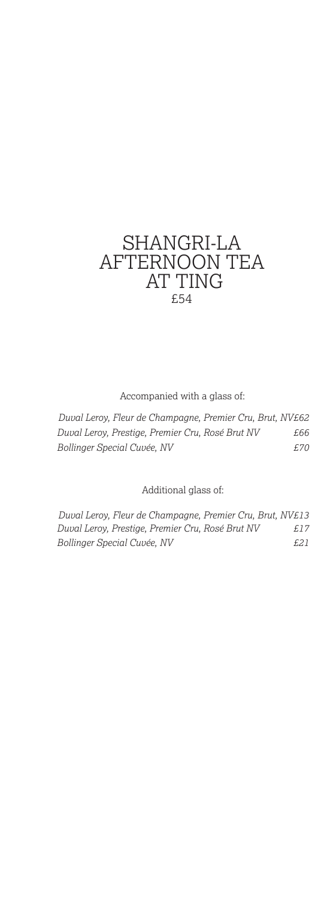# SHANGRI-LA AFTERNOON TEA AT TING £54

Accompanied with a glass of:

*Duval Leroy, Fleur de Champagne, Premier Cru, Brut, NV£62 Duval Leroy, Prestige, Premier Cru, Rosé Brut NV £66 Bollinger Special Cuvée, NV £70*

Additional glass of:

*Duval Leroy, Fleur de Champagne, Premier Cru, Brut, NV£13 Duval Leroy, Prestige, Premier Cru, Rosé Brut NV £17 Bollinger Special Cuvée, NV £21*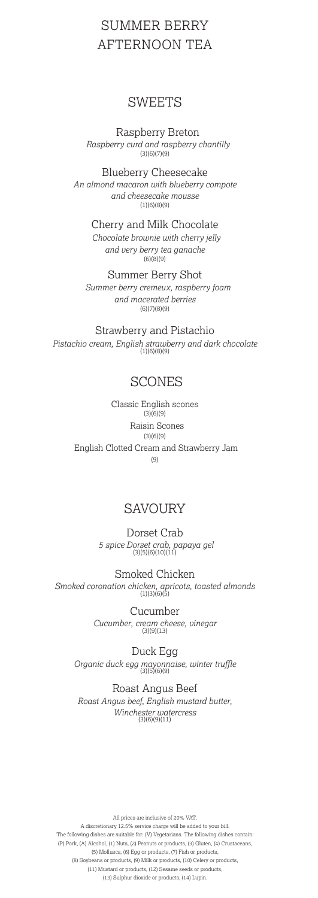## SUMMER BERRY AFTERNOON TEA

#### **SWEETS**

Raspberry Breton *Raspberry curd and raspberry chantilly*   $(3)(6)(7)(9)$ 

Blueberry Cheesecake *An almond macaron with blueberry compote and cheesecake mousse*   $(1)(6)(8)(9)$ 

Cherry and Milk Chocolate

*Chocolate brownie with cherry jelly and very berry tea ganache*  (6)(8)(9)

Summer Berry Shot *Summer berry cremeux, raspberry foam and macerated berries*  (6)(7)(8)(9)

Strawberry and Pistachio

*Pistachio cream, English strawberry and dark chocolate* (1)(6)(8)(9)

#### SCONES

Classic English scones  $(3)(6)(9)$  Raisin Scones  $(3)(6)(9)$ English Clotted Cream and Strawberry Jam (9)

#### **SAVOURY**

Dorset Crab  *5 spice Dorset crab, papaya gel* (3)(5)(6)(10)(11)

Smoked Chicken *Smoked coronation chicken, apricots, toasted almonds*  (1)(3)(6)(5)

> Cucumber *Cucumber, cream cheese, vinegar* (3)(9)(13)

Duck Egg *Organic duck egg mayonnaise, winter truffle* (3)(5)(6)(9)

Roast Angus Beef *Roast Angus beef, English mustard butter, Winchester watercress* (3)(6)(9)(11)

All prices are inclusive of 20% VAT. A discretionary 12.5% service charge will be added to your bill. The following dishes are suitable for: (V) Vegetarians. The following dishes contain: (P) Pork, (A) Alcohol, (1) Nuts, (2) Peanuts or products, (3) Gluten, (4) Crustaceans, (5) Molluscs, (6) Egg or products, (7) Fish or products, (8) Soybeans or products, (9) Milk or products, (10) Celery or products, (11) Mustard or products, (12) Sesame seeds or products, (13) Sulphur dioxide or products, (14) Lupin.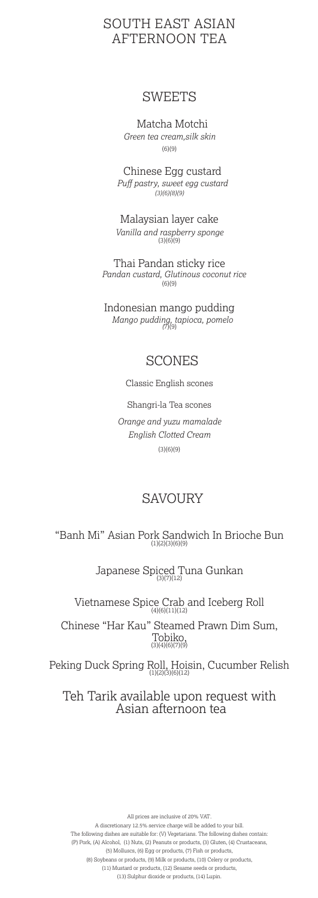#### SOUTH EAST ASIAN AFTERNOON TEA

#### SWEETS

Matcha Motchi *Green tea cream,silk skin*  $(6)(9)$ 

Chinese Egg custard *Puff pastry, sweet egg custard (3)(6)(8)(9)*

Malaysian layer cake *Vanilla and raspberry sponge*  $(3)(6)(9)$ 

Thai Pandan sticky rice  *Pandan custard, Glutinous coconut rice* (6)(9)

Indonesian mango pudding *Mango pudding, tapioca, pomelo (*7)(9)

#### SCONES

Classic English scones

Shangri-la Tea scones

*Orange and yuzu mamalade English Clotted Cream*  $(3)(6)(9)$ 

#### SAVOURY

"Banh Mi" Asian Pork Sandwich In Brioche Bun (1)(2)(3)(6)(9)

Japanese Spiced Tuna Gunkan

Vietnamese Spice Crab and Iceberg Roll  $\frac{(4)(6)(11)(12)}{4(6)(11)(12)}$ 

Chinese "Har Kau" Steamed Prawn Dim Sum, Tobiko, (3)(4)(6)(7)(9)

Peking Duck Spring Roll, Hoisin, Cucumber Relish

#### Teh Tarik available upon request with Asian afternoon tea

All prices are inclusive of 20% VAT. A discretionary 12.5% service charge will be added to your bill. The following dishes are suitable for: (V) Vegetarians. The following dishes contain: (P) Pork, (A) Alcohol, (1) Nuts, (2) Peanuts or products, (3) Gluten, (4) Crustaceans, (5) Molluscs, (6) Egg or products, (7) Fish or products,

(8) Soybeans or products, (9) Milk or products, (10) Celery or products, (11) Mustard or products, (12) Sesame seeds or products,

(13) Sulphur dioxide or products, (14) Lupin.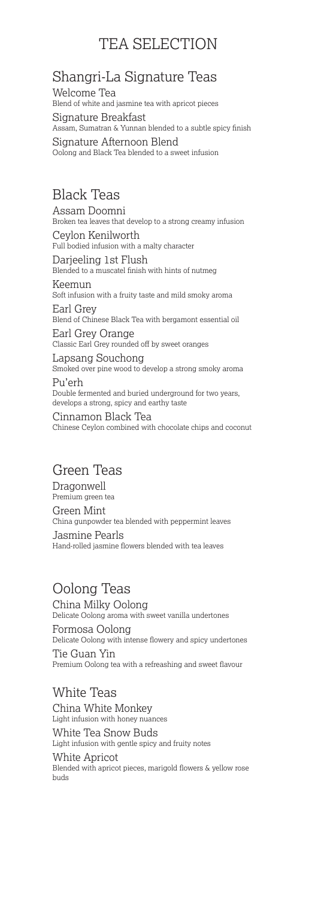# TEA SELECTION

# Shangri-La Signature Teas

Welcome Tea<br>Blend of white and jasmine tea with apricot pieces Signature Breakfast Assam, Sumatran & Yunnan blended to a subtle spicy finish

Signature Afternoon Blend Oolong and Black Tea blended to a sweet infusion

## Black Teas

Assam Doomni<br>Broken tea leaves that develop to a strong creamy infusion Ceylon Kenilworth Full bodied infusion with a malty character Darjeeling 1st Flush Blended to a muscatel finish with hints of nutmeg Keemun<br>Soft infusion with a fruity taste and mild smoky aroma Earl Grey<br>Blend of Chinese Black Tea with bergamont essential oil Earl Grey Orange Classic Earl Grey rounded off by sweet oranges Lapsang Souchong<br>Smoked over pine wood to develop a strong smoky aroma Pu'erh

Double fermented and buried underground for two years, develops a strong, spicy and earthy taste

Cinnamon Black Tea<br>Chinese Ceylon combined with chocolate chips and coconut

# Green Teas

Dragonwell Premium green tea Green Mint<br>China gunpowder tea blended with peppermint leaves Jasmine Pearls Hand-rolled jasmine flowers blended with tea leaves

### Oolong Teas

China Milky Oolong<br>Delicate Oolong aroma with sweet vanilla undertones

Formosa Oolong Delicate Oolong with intense flowery and spicy undertones Tie Guan Yin Premium Oolong tea with a refreashing and sweet flavour

#### White Teas

China White Monkey Light infusion with honey nuances

White Tea Snow Buds<br>Light infusion with gentle spicy and fruity notes

White Apricot Blended with apricot pieces, marigold flowers & yellow rose buds